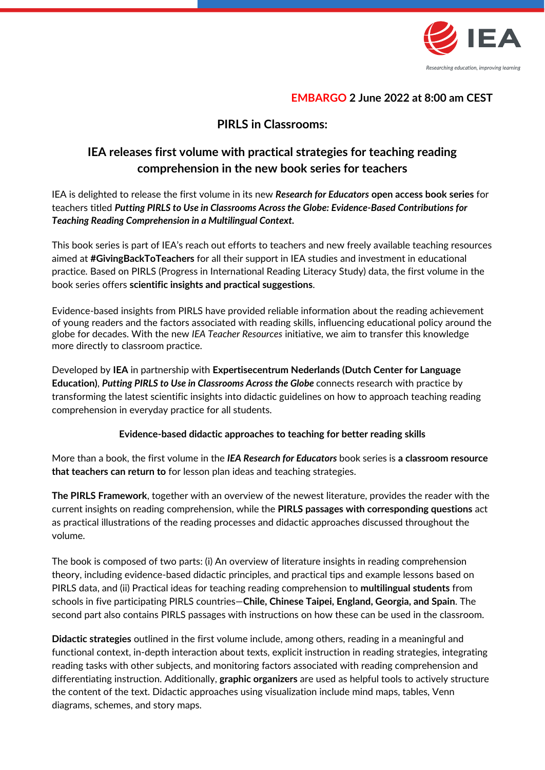

## **EMBARGO 2 June 2022 at 8:00 am CEST**

## **PIRLS in Classrooms:**

# **IEA releases first volume with practical strategies for teaching reading comprehension in the new book series for teachers**

IEA is delighted to release the first volume in its new *Research for Educators* **open access book series** for teachers titled *Putting PIRLS to Use in Classrooms Across the Globe: Evidence-Based Contributions for Teaching Reading Comprehension in a Multilingual Context.* 

This book series is part of IEA's reach out efforts to teachers and new freely available teaching resources aimed at **#GivingBackToTeachers** for all their support in IEA studies and investment in educational practice*.* Based on PIRLS (Progress in International Reading Literacy Study) data, the first volume in the book series offers **scientific insights and practical suggestions**.

Evidence-based insights from PIRLS have provided reliable information about the reading achievement of young readers and the factors associated with reading skills, influencing educational policy around the globe for decades. With the new *IEA Teacher Resources* initiative, we aim to transfer this knowledge more directly to classroom practice.

Developed by **IEA** in partnership with **Expertisecentrum Nederlands (Dutch Center for Language Education)**, *Putting PIRLS to Use in Classrooms Across the Globe* connects research with practice by transforming the latest scientific insights into didactic guidelines on how to approach teaching reading comprehension in everyday practice for all students.

## **Evidence-based didactic approaches to teaching for better reading skills**

More than a book, the first volume in the *IEA Research for Educators* book series is **a classroom resource that teachers can return to** for lesson plan ideas and teaching strategies.

**The PIRLS Framework**, together with an overview of the newest literature, provides the reader with the current insights on reading comprehension, while the **PIRLS passages with corresponding questions** act as practical illustrations of the reading processes and didactic approaches discussed throughout the volume.

The book is composed of two parts: (i) An overview of literature insights in reading comprehension theory, including evidence-based didactic principles, and practical tips and example lessons based on PIRLS data, and (ii) Practical ideas for teaching reading comprehension to **multilingual students** from schools in five participating PIRLS countries—**Chile, Chinese Taipei, England, Georgia, and Spain**. The second part also contains PIRLS passages with instructions on how these can be used in the classroom.

**Didactic strategies** outlined in the first volume include, among others, reading in a meaningful and functional context, in-depth interaction about texts, explicit instruction in reading strategies, integrating reading tasks with other subjects, and monitoring factors associated with reading comprehension and differentiating instruction. Additionally, **graphic organizers** are used as helpful tools to actively structure the content of the text. Didactic approaches using visualization include mind maps, tables, Venn diagrams, schemes, and story maps.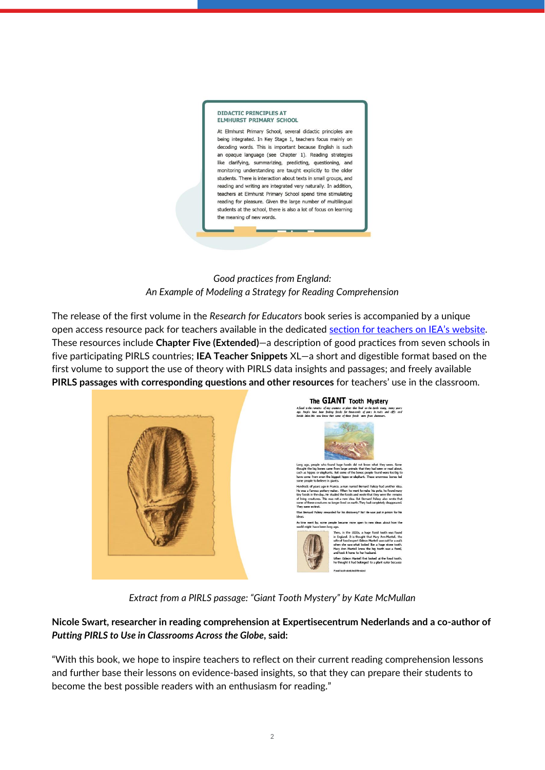

*Good practices from England: An Example of Modeling a Strategy for Reading Comprehension*

The release of the first volume in the *Research for Educators* book series is accompanied by a unique open access resource pack for teachers available in the dedicated section for teachers [on IEA's website](https://www.iea.nl/publications/iea-teachers-snippets/introducing-iea-resources-teachers). These resources include **Chapter Five (Extended)**—a description of good practices from seven schools in five participating PIRLS countries; **IEA Teacher Snippets** XL—a short and digestible format based on the first volume to support the use of theory with PIRLS data insights and passages; and freely available **PIRLS passages with corresponding questions and other resources** for teachers' use in the classroom.



*Extract from a PIRLS passage: "Giant Tooth Mystery" by Kate McMullan*

**Nicole Swart, researcher in reading comprehension at Expertisecentrum Nederlands and a co-author of**  *Putting PIRLS to Use in Classrooms Across the Globe***, said:**

"With this book, we hope to inspire teachers to reflect on their current reading comprehension lessons and further base their lessons on evidence-based insights, so that they can prepare their students to become the best possible readers with an enthusiasm for reading."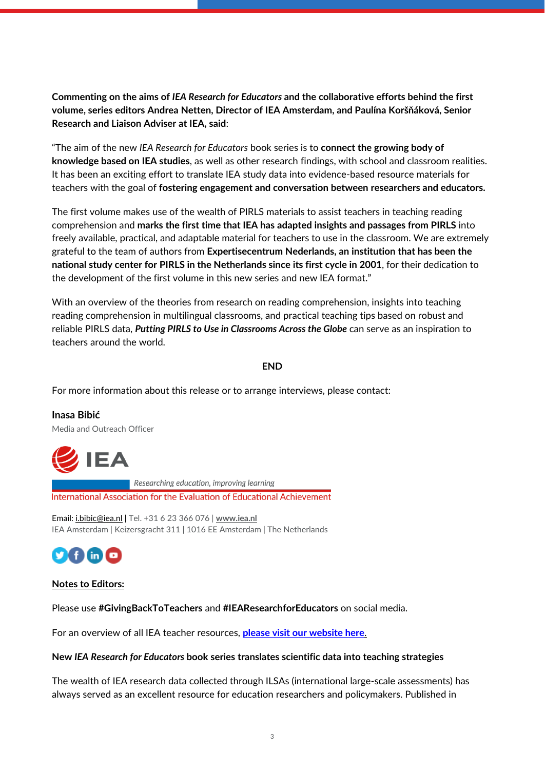**Commenting on the aims of** *IEA Research for Educators* **and the collaborative efforts behind the first volume, series editors Andrea Netten, Director of IEA Amsterdam, and Paulína Koršňáková, Senior Research and Liaison Adviser at IEA, said**:

"The aim of the new *IEA Research for Educators* book series is to **connect the growing body of knowledge based on IEA studies**, as well as other research findings, with school and classroom realities. It has been an exciting effort to translate IEA study data into evidence-based resource materials for teachers with the goal of **fostering engagement and conversation between researchers and educators.**

The first volume makes use of the wealth of PIRLS materials to assist teachers in teaching reading comprehension and **marks the first time that IEA has adapted insights and passages from PIRLS** into freely available, practical, and adaptable material for teachers to use in the classroom. We are extremely grateful to the team of authors from **Expertisecentrum Nederlands, an institution that has been the national study center for PIRLS in the Netherlands since its first cycle in 2001**, for their dedication to the development of the first volume in this new series and new IEA format."

With an overview of the theories from research on reading comprehension, insights into teaching reading comprehension in multilingual classrooms, and practical teaching tips based on robust and reliable PIRLS data, *Putting PIRLS to Use in Classrooms Across the Globe* can serve as an inspiration to teachers around the world.

#### **END**

For more information about this release or to arrange interviews, please contact:

**Inasa Bibić** Media and Outreach Officer



Researching education, improving learning

International Association for the Evaluation of Educational Achievement

Email[: i.bibic@iea.nl](mailto:i.bibic@iea.nl) | Tel. +31 6 23 366 076 | **[www.iea.nl](http://www.iea.nl/)** IEA Amsterdam | Keizersgracht 311 | 1016 EE Amsterdam | The Netherlands



#### **Notes to Editors:**

Please use **#GivingBackToTeachers** and **#IEAResearchforEducators** on social media.

For an overview of all IEA teacher resources, **[please visit our website here](https://www.iea.nl/publications/iea-teachers-snippets/introducing-iea-resources-teachers)**.

#### **New** *IEA Research for Educators* **book series translates scientific data into teaching strategies**

The wealth of IEA research data collected through ILSAs (international large-scale assessments) has always served as an excellent resource for education researchers and policymakers. Published in